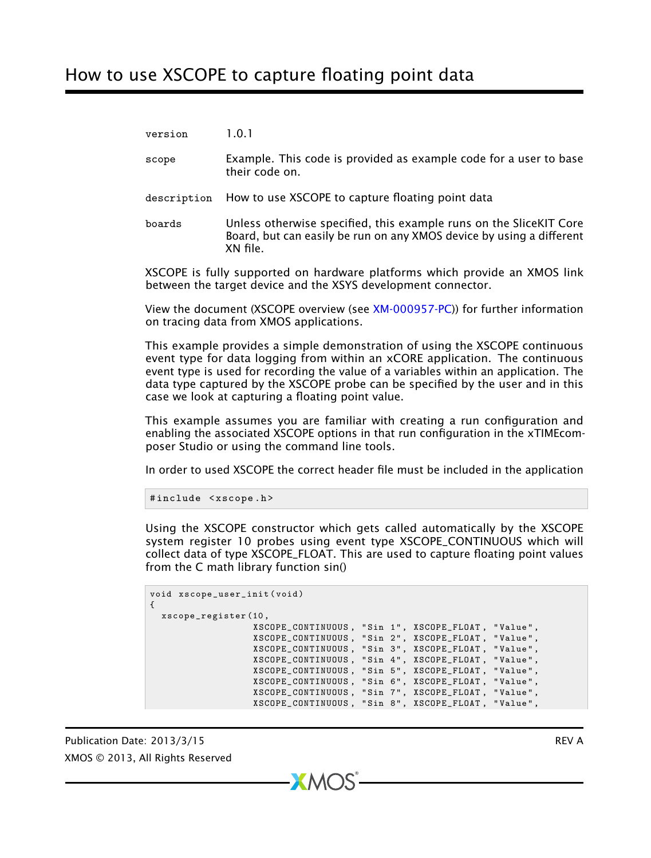version 1.0.1 scope Example. This code is provided as example code for a user to base their code on. description How to use XSCOPE to capture floating point data

boards Unless otherwise specified, this example runs on the SliceKIT Core Board, but can easily be run on any XMOS device by using a different XN file.

XSCOPE is fully supported on hardware platforms which provide an XMOS link between the target device and the XSYS development connector.

View the document (XSCOPE overview (see [XM-000957-PC\)](http://www.xmos.com/doc/XM-000957-PC/latest#trace-data-with-xscope)) for further information on tracing data from XMOS applications.

This example provides a simple demonstration of using the XSCOPE continuous event type for data logging from within an xCORE application. The continuous event type is used for recording the value of a variables within an application. The data type captured by the XSCOPE probe can be specified by the user and in this case we look at capturing a floating point value.

This example assumes you are familiar with creating a run configuration and enabling the associated XSCOPE options in that run configuration in the xTIMEcomposer Studio or using the command line tools.

In order to used XSCOPE the correct header file must be included in the application

```
#include <xscope.h>
```
Using the XSCOPE constructor which gets called automatically by the XSCOPE system register 10 probes using event type XSCOPE\_CONTINUOUS which will collect data of type XSCOPE\_FLOAT. This are used to capture floating point values from the C math library function sin()

```
void xscope_user_init ( void )
{
 xscope_register (10 ,
                    XSCOPE_CONTINUOUS , " Sin 1 " , XSCOPE_FLOAT , " Value " ,
                     XSCOPE_CONTINUOUS , " Sin 2 " , XSCOPE_FLOAT , " Value " ,
                     XSCOPE_CONTINUOUS , " Sin 3 " , XSCOPE_FLOAT , " Value " ,
                    XSCOPE_CONTINUOUS , " Sin 4 " , XSCOPE_FLOAT , " Value " ,
                     XSCOPE_CONTINUOUS , " Sin 5 " , XSCOPE_FLOAT , " Value " ,
                     XSCOPE_CONTINUOUS , " Sin 6 " , XSCOPE_FLOAT , " Value " ,
                     XSCOPE_CONTINUOUS , " Sin 7 " , XSCOPE_FLOAT , " Value " ,
                     XSCOPE_CONTINUOUS , " Sin 8 " , XSCOPE_FLOAT , " Value " ,
```
 $X$ M $(S)$ 

Publication Date: 2013/3/15 REV A XMOS © 2013, All Rights Reserved